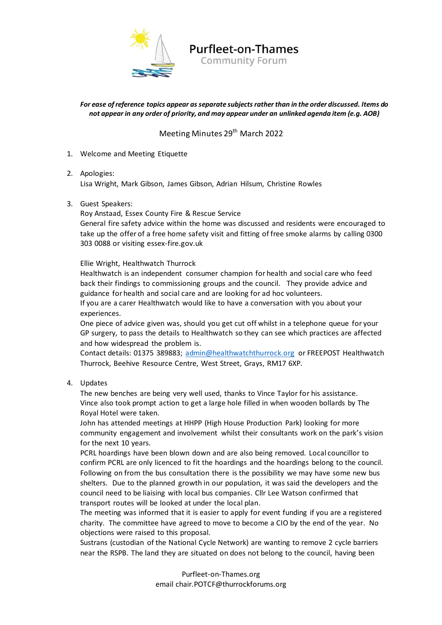

## **Purfleet-on-Thames**

**Community Forum** 

## *For ease of reference topics appear as separate subjects rather than in the order discussed. Items do not appear in any order of priority, and may appear under an unlinked agenda item (e.g. AOB)*

## Meeting Minutes 29<sup>th</sup> March 2022

- 1. Welcome and Meeting Etiquette
- 2. Apologies:

Lisa Wright, Mark Gibson, James Gibson, Adrian Hilsum, Christine Rowles

3. Guest Speakers:

Roy Anstaad, Essex County Fire & Rescue Service

General fire safety advice within the home was discussed and residents were encouraged to take up the offer of a free home safety visit and fitting of free smoke alarms by calling 0300 303 0088 or visiting essex-fire.gov.uk

Ellie Wright, Healthwatch Thurrock

Healthwatch is an independent consumer champion for health and social care who feed back their findings to commissioning groups and the council. They provide advice and guidance for health and social care and are looking for ad hoc volunteers.

If you are a carer Healthwatch would like to have a conversation with you about your experiences.

One piece of advice given was, should you get cut off whilst in a telephone queue for your GP surgery, to pass the details to Healthwatch so they can see which practices are affected and how widespread the problem is.

Contact details: 01375 389883; [admin@healthwatchthurrock.org](mailto:admin@healthwatchthurrock.org) or FREEPOST Healthwatch Thurrock, Beehive Resource Centre, West Street, Grays, RM17 6XP.

4. Updates

The new benches are being very well used, thanks to Vince Taylor for his assistance. Vince also took prompt action to get a large hole filled in when wooden bollards by The Royal Hotel were taken.

John has attended meetings at HHPP (High House Production Park) looking for more community engagement and involvement whilst their consultants work on the park's vision for the next 10 years.

PCRL hoardings have been blown down and are also being removed. Local councillor to confirm PCRL are only licenced to fit the hoardings and the hoardings belong to the council. Following on from the bus consultation there is the possibility we may have some new bus shelters. Due to the planned growth in our population, it was said the developers and the council need to be liaising with local bus companies. Cllr Lee Watson confirmed that transport routes will be looked at under the local plan.

The meeting was informed that it is easier to apply for event funding if you are a registered charity. The committee have agreed to move to become a CIO by the end of the year. No objections were raised to this proposal.

Sustrans (custodian of the National Cycle Network) are wanting to remove 2 cycle barriers near the RSPB. The land they are situated on does not belong to the council, having been

> Purfleet-on-Thames.org email chair.POTCF@thurrockforums.org